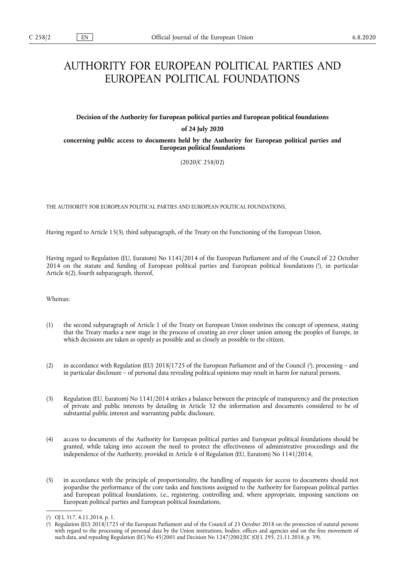# AUTHORITY FOR EUROPEAN POLITICAL PARTIES AND EUROPEAN POLITICAL FOUNDATIONS

# **Decision of the Authority for European political parties and European political foundations**

## **of 24 July 2020**

**concerning public access to documents held by the Authority for European political parties and European political foundations** 

(2020/C 258/02)

THE AUTHORITY FOR EUROPEAN POLITICAL PARTIES AND EUROPEAN POLITICAL FOUNDATIONS,

Having regard to Article 15(3), third subparagraph, of the Treaty on the Functioning of the European Union,

Having regard to Regulation (EU, Euratom) No 1141/2014 of the European Parliament and of the Council of 22 October 2014 on the statute and funding of European political parties and European political foundations ( 1 ), in particular Article 6(2), fourth subparagraph, thereof,

Whereas:

- (1) the second subparagraph of Article 1 of the Treaty on European Union enshrines the concept of openness, stating that the Treaty marks a new stage in the process of creating an ever closer union among the peoples of Europe, in which decisions are taken as openly as possible and as closely as possible to the citizen,
- (2) in accordance with Regulation (EU) 2018/1725 of the European Parliament and of the Council (<sup>2</sup>), processing and in particular disclosure – of personal data revealing political opinions may result in harm for natural persons,
- (3) Regulation (EU, Euratom) No 1141/2014 strikes a balance between the principle of transparency and the protection of private and public interests by detailing in Article 32 the information and documents considered to be of substantial public interest and warranting public disclosure,
- (4) access to documents of the Authority for European political parties and European political foundations should be granted, while taking into account the need to protect the effectiveness of administrative proceedings and the independence of the Authority, provided in Article 6 of Regulation (EU, Euratom) No 1141/2014,
- (5) in accordance with the principle of proportionality, the handling of requests for access to documents should not jeopardise the performance of the core tasks and functions assigned to the Authority for European political parties and European political foundations, i.e., registering, controlling and, where appropriate, imposing sanctions on European political parties and European political foundations,

<sup>(</sup> 1 ) OJ L 317, 4.11.2014, p. 1.

<sup>(</sup> 2 ) Regulation (EU) 2018/1725 of the European Parliament and of the Council of 23 October 2018 on the protection of natural persons with regard to the processing of personal data by the Union institutions, bodies, offices and agencies and on the free movement of such data, and repealing Regulation (EC) No 45/2001 and Decision No 1247/2002/EC (OJ L 295, 21.11.2018, p. 39).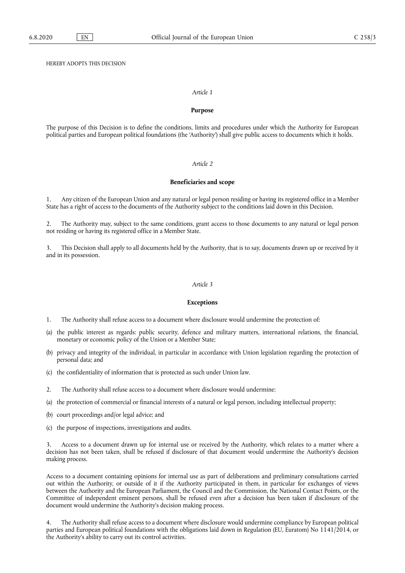HEREBY ADOPTS THIS DECISION

## *Article 1*

## **Purpose**

The purpose of this Decision is to define the conditions, limits and procedures under which the Authority for European political parties and European political foundations (the 'Authority') shall give public access to documents which it holds.

#### *Article 2*

## **Beneficiaries and scope**

1. Any citizen of the European Union and any natural or legal person residing or having its registered office in a Member State has a right of access to the documents of the Authority subject to the conditions laid down in this Decision.

2. The Authority may, subject to the same conditions, grant access to those documents to any natural or legal person not residing or having its registered office in a Member State.

3. This Decision shall apply to all documents held by the Authority, that is to say, documents drawn up or received by it and in its possession.

#### *Article 3*

#### **Exceptions**

1. The Authority shall refuse access to a document where disclosure would undermine the protection of:

- (a) the public interest as regards: public security, defence and military matters, international relations, the financial, monetary or economic policy of the Union or a Member State;
- (b) privacy and integrity of the individual, in particular in accordance with Union legislation regarding the protection of personal data; and
- (c) the confidentiality of information that is protected as such under Union law.
- 2. The Authority shall refuse access to a document where disclosure would undermine:
- (a) the protection of commercial or financial interests of a natural or legal person, including intellectual property;
- (b) court proceedings and/or legal advice; and
- (c) the purpose of inspections, investigations and audits.

3. Access to a document drawn up for internal use or received by the Authority, which relates to a matter where a decision has not been taken, shall be refused if disclosure of that document would undermine the Authority's decision making process.

Access to a document containing opinions for internal use as part of deliberations and preliminary consultations carried out within the Authority, or outside of it if the Authority participated in them, in particular for exchanges of views between the Authority and the European Parliament, the Council and the Commission, the National Contact Points, or the Committee of independent eminent persons, shall be refused even after a decision has been taken if disclosure of the document would undermine the Authority's decision making process.

4. The Authority shall refuse access to a document where disclosure would undermine compliance by European political parties and European political foundations with the obligations laid down in Regulation (EU, Euratom) No 1141/2014, or the Authority's ability to carry out its control activities.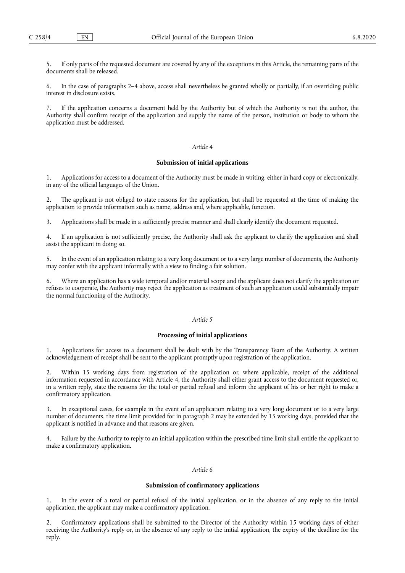5. If only parts of the requested document are covered by any of the exceptions in this Article, the remaining parts of the documents shall be released.

6. In the case of paragraphs 2–4 above, access shall nevertheless be granted wholly or partially, if an overriding public interest in disclosure exists.

7. If the application concerns a document held by the Authority but of which the Authority is not the author, the Authority shall confirm receipt of the application and supply the name of the person, institution or body to whom the application must be addressed.

## *Article 4*

## **Submission of initial applications**

1. Applications for access to a document of the Authority must be made in writing, either in hard copy or electronically, in any of the official languages of the Union.

2. The applicant is not obliged to state reasons for the application, but shall be requested at the time of making the application to provide information such as name, address and, where applicable, function.

3. Applications shall be made in a sufficiently precise manner and shall clearly identify the document requested.

4. If an application is not sufficiently precise, the Authority shall ask the applicant to clarify the application and shall assist the applicant in doing so.

5. In the event of an application relating to a very long document or to a very large number of documents, the Authority may confer with the applicant informally with a view to finding a fair solution.

6. Where an application has a wide temporal and/or material scope and the applicant does not clarify the application or refuses to cooperate, the Authority may reject the application as treatment of such an application could substantially impair the normal functioning of the Authority.

## *Article 5*

## **Processing of initial applications**

1. Applications for access to a document shall be dealt with by the Transparency Team of the Authority. A written acknowledgement of receipt shall be sent to the applicant promptly upon registration of the application.

2. Within 15 working days from registration of the application or, where applicable, receipt of the additional information requested in accordance with Article 4, the Authority shall either grant access to the document requested or, in a written reply, state the reasons for the total or partial refusal and inform the applicant of his or her right to make a confirmatory application.

3. In exceptional cases, for example in the event of an application relating to a very long document or to a very large number of documents, the time limit provided for in paragraph 2 may be extended by 15 working days, provided that the applicant is notified in advance and that reasons are given.

4. Failure by the Authority to reply to an initial application within the prescribed time limit shall entitle the applicant to make a confirmatory application.

## *Article 6*

## **Submission of confirmatory applications**

1. In the event of a total or partial refusal of the initial application, or in the absence of any reply to the initial application, the applicant may make a confirmatory application.

2. Confirmatory applications shall be submitted to the Director of the Authority within 15 working days of either receiving the Authority's reply or, in the absence of any reply to the initial application, the expiry of the deadline for the reply.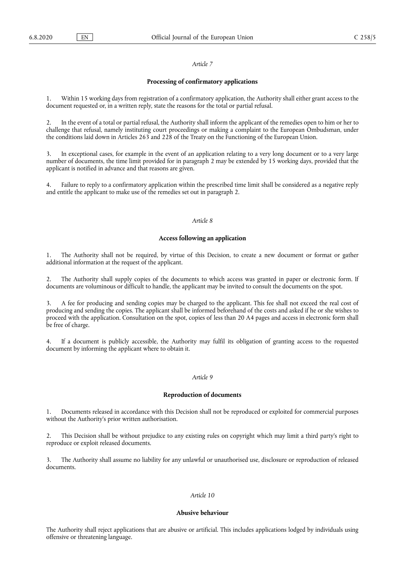## *Article 7*

## **Processing of confirmatory applications**

Within 15 working days from registration of a confirmatory application, the Authority shall either grant access to the document requested or, in a written reply, state the reasons for the total or partial refusal.

2. In the event of a total or partial refusal, the Authority shall inform the applicant of the remedies open to him or her to challenge that refusal, namely instituting court proceedings or making a complaint to the European Ombudsman, under the conditions laid down in Articles 263 and 228 of the Treaty on the Functioning of the European Union.

3. In exceptional cases, for example in the event of an application relating to a very long document or to a very large number of documents, the time limit provided for in paragraph 2 may be extended by 15 working days, provided that the applicant is notified in advance and that reasons are given.

4. Failure to reply to a confirmatory application within the prescribed time limit shall be considered as a negative reply and entitle the applicant to make use of the remedies set out in paragraph 2.

## *Article 8*

#### **Access following an application**

The Authority shall not be required, by virtue of this Decision, to create a new document or format or gather additional information at the request of the applicant.

2. The Authority shall supply copies of the documents to which access was granted in paper or electronic form. If documents are voluminous or difficult to handle, the applicant may be invited to consult the documents on the spot.

3. A fee for producing and sending copies may be charged to the applicant. This fee shall not exceed the real cost of producing and sending the copies. The applicant shall be informed beforehand of the costs and asked if he or she wishes to proceed with the application. Consultation on the spot, copies of less than 20 A4 pages and access in electronic form shall be free of charge.

4. If a document is publicly accessible, the Authority may fulfil its obligation of granting access to the requested document by informing the applicant where to obtain it.

## *Article 9*

## **Reproduction of documents**

1. Documents released in accordance with this Decision shall not be reproduced or exploited for commercial purposes without the Authority's prior written authorisation.

2. This Decision shall be without prejudice to any existing rules on copyright which may limit a third party's right to reproduce or exploit released documents.

3. The Authority shall assume no liability for any unlawful or unauthorised use, disclosure or reproduction of released documents.

# *Article 10*

## **Abusive behaviour**

The Authority shall reject applications that are abusive or artificial. This includes applications lodged by individuals using offensive or threatening language.